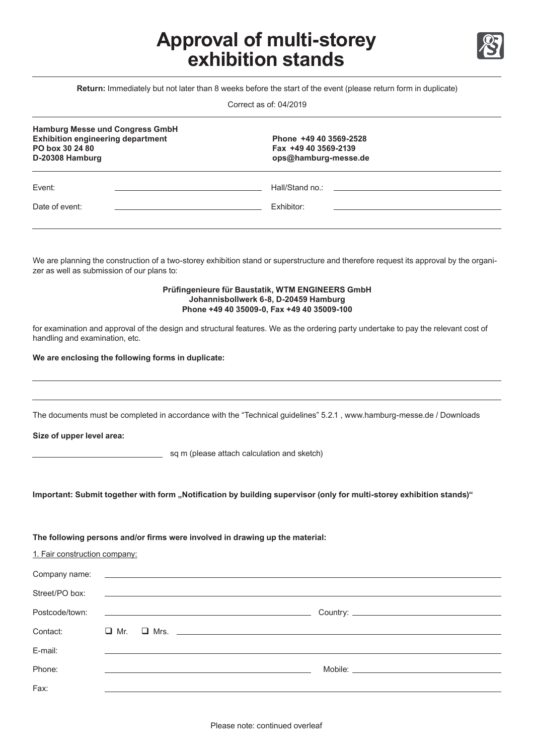# **Approval of multi-storey exhibition stands**



**Return:** Immediately but not later than 8 weeks before the start of the event (please return form in duplicate)

Correct as of: 04/2019

| <b>Hamburg Messe und Congress GmbH</b><br><b>Exhibition engineering department</b><br>PO box 30 24 80<br>D-20308 Hamburg | Phone +49 40 3569-2528<br>Fax +49 40 3569-2139<br>ops@hamburg-messe.de                                                                                                                                                         |
|--------------------------------------------------------------------------------------------------------------------------|--------------------------------------------------------------------------------------------------------------------------------------------------------------------------------------------------------------------------------|
| Event:                                                                                                                   | Hall/Stand no.: The contract of the contract of the contract of the contract of the contract of the contract of the contract of the contract of the contract of the contract of the contract of the contract of the contract o |
| Date of event:                                                                                                           | Exhibitor:                                                                                                                                                                                                                     |
|                                                                                                                          |                                                                                                                                                                                                                                |

We are planning the construction of a two-storey exhibition stand or superstructure and therefore request its approval by the organizer as well as submission of our plans to:

#### **Prüfingenieure für Baustatik, WTM ENGINEERS GmbH Johannisbollwerk 6-8, D-20459 Hamburg Phone +49 40 35009-0, Fax +49 40 35009-100**

for examination and approval of the design and structural features. We as the ordering party undertake to pay the relevant cost of handling and examination, etc.

### **We are enclosing the following forms in duplicate:**

The documents must be completed in accordance with the "Technical guidelines" 5.2.1 , www.hamburg-messe.de / Downloads

**Size of upper level area:** 

sq m (please attach calculation and sketch)

Important: Submit together with form "Notification by building supervisor (only for multi-storey exhibition stands)"

#### **The following persons and/or firms were involved in drawing up the material:**

| 1. Fair construction company: |                                                                                                                                                                                                                                |                                                                                                                                                                                                                                |
|-------------------------------|--------------------------------------------------------------------------------------------------------------------------------------------------------------------------------------------------------------------------------|--------------------------------------------------------------------------------------------------------------------------------------------------------------------------------------------------------------------------------|
|                               | Company name: experience and a series of the series of the series of the series of the series of the series of the series of the series of the series of the series of the series of the series of the series of the series of |                                                                                                                                                                                                                                |
| Street/PO box:                | <u> 1989 - Andrea Andrew Maria (h. 1989).</u>                                                                                                                                                                                  |                                                                                                                                                                                                                                |
| Postcode/town:                | <u> 1989 - Andrea Stadt Britain, amerikansk politiker (</u>                                                                                                                                                                    |                                                                                                                                                                                                                                |
| Contact:                      | $\Box$ Mr.                                                                                                                                                                                                                     |                                                                                                                                                                                                                                |
| E-mail:                       |                                                                                                                                                                                                                                |                                                                                                                                                                                                                                |
| Phone:                        |                                                                                                                                                                                                                                | Mobile: the contract of the contract of the contract of the contract of the contract of the contract of the contract of the contract of the contract of the contract of the contract of the contract of the contract of the co |
| Fax:                          |                                                                                                                                                                                                                                |                                                                                                                                                                                                                                |